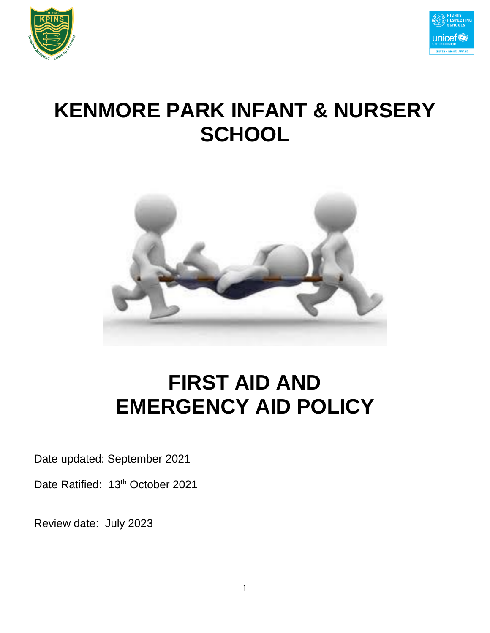



# **KENMORE PARK INFANT & NURSERY SCHOOL**



# **FIRST AID AND EMERGENCY AID POLICY**

Date updated: September 2021

Date Ratified: 13<sup>th</sup> October 2021

Review date: July 2023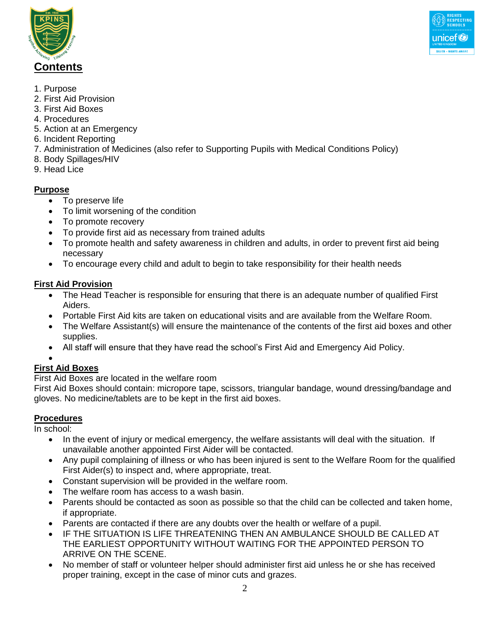



- 1. Purpose
- 2. First Aid Provision
- 3. First Aid Boxes
- 4. Procedures
- 5. Action at an Emergency
- 6. Incident Reporting
- 7. Administration of Medicines (also refer to Supporting Pupils with Medical Conditions Policy)
- 8. Body Spillages/HIV
- 9. Head Lice

### **Purpose**

- To preserve life
- To limit worsening of the condition
- To promote recovery
- To provide first aid as necessary from trained adults
- To promote health and safety awareness in children and adults, in order to prevent first aid being necessary
- To encourage every child and adult to begin to take responsibility for their health needs

#### **First Aid Provision**

- The Head Teacher is responsible for ensuring that there is an adequate number of qualified First Aiders.
- Portable First Aid kits are taken on educational visits and are available from the Welfare Room.
- The Welfare Assistant(s) will ensure the maintenance of the contents of the first aid boxes and other supplies.
- All staff will ensure that they have read the school's First Aid and Emergency Aid Policy.

#### $\bullet$

## **First Aid Boxes**

First Aid Boxes are located in the welfare room

First Aid Boxes should contain: micropore tape, scissors, triangular bandage, wound dressing/bandage and gloves. No medicine/tablets are to be kept in the first aid boxes.

## **Procedures**

In school:

- In the event of injury or medical emergency, the welfare assistants will deal with the situation. If unavailable another appointed First Aider will be contacted.
- Any pupil complaining of illness or who has been injured is sent to the Welfare Room for the qualified First Aider(s) to inspect and, where appropriate, treat.
- Constant supervision will be provided in the welfare room.
- The welfare room has access to a wash basin.
- Parents should be contacted as soon as possible so that the child can be collected and taken home, if appropriate.
- Parents are contacted if there are any doubts over the health or welfare of a pupil.
- IF THE SITUATION IS LIFE THREATENING THEN AN AMBULANCE SHOULD BE CALLED AT THE EARLIEST OPPORTUNITY WITHOUT WAITING FOR THE APPOINTED PERSON TO ARRIVE ON THE SCENE.
- No member of staff or volunteer helper should administer first aid unless he or she has received proper training, except in the case of minor cuts and grazes.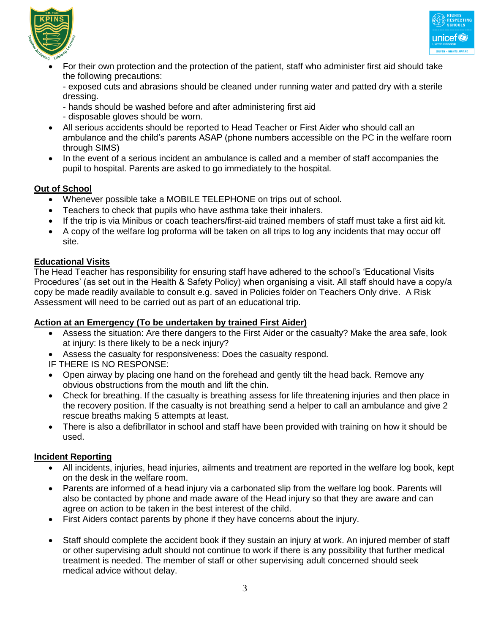



 For their own protection and the protection of the patient, staff who administer first aid should take the following precautions:

- exposed cuts and abrasions should be cleaned under running water and patted dry with a sterile dressing.

- hands should be washed before and after administering first aid
- disposable gloves should be worn.
- All serious accidents should be reported to Head Teacher or First Aider who should call an ambulance and the child's parents ASAP (phone numbers accessible on the PC in the welfare room through SIMS)
- In the event of a serious incident an ambulance is called and a member of staff accompanies the pupil to hospital. Parents are asked to go immediately to the hospital.

#### **Out of School**

- Whenever possible take a MOBILE TELEPHONE on trips out of school.
- Teachers to check that pupils who have asthma take their inhalers.
- If the trip is via Minibus or coach teachers/first-aid trained members of staff must take a first aid kit.
- A copy of the welfare log proforma will be taken on all trips to log any incidents that may occur off site.

#### **Educational Visits**

The Head Teacher has responsibility for ensuring staff have adhered to the school's 'Educational Visits Procedures' (as set out in the Health & Safety Policy) when organising a visit. All staff should have a copy/a copy be made readily available to consult e.g. saved in Policies folder on Teachers Only drive. A Risk Assessment will need to be carried out as part of an educational trip.

#### **Action at an Emergency (To be undertaken by trained First Aider)**

- Assess the situation: Are there dangers to the First Aider or the casualty? Make the area safe, look at injury: Is there likely to be a neck injury?
- Assess the casualty for responsiveness: Does the casualty respond.
- IF THERE IS NO RESPONSE:
- Open airway by placing one hand on the forehead and gently tilt the head back. Remove any obvious obstructions from the mouth and lift the chin.
- Check for breathing. If the casualty is breathing assess for life threatening injuries and then place in the recovery position. If the casualty is not breathing send a helper to call an ambulance and give 2 rescue breaths making 5 attempts at least.
- There is also a defibrillator in school and staff have been provided with training on how it should be used.

#### **Incident Reporting**

- All incidents, injuries, head injuries, ailments and treatment are reported in the welfare log book, kept on the desk in the welfare room.
- Parents are informed of a head injury via a carbonated slip from the welfare log book. Parents will also be contacted by phone and made aware of the Head injury so that they are aware and can agree on action to be taken in the best interest of the child.
- First Aiders contact parents by phone if they have concerns about the injury.
- Staff should complete the accident book if they sustain an injury at work. An injured member of staff or other supervising adult should not continue to work if there is any possibility that further medical treatment is needed. The member of staff or other supervising adult concerned should seek medical advice without delay.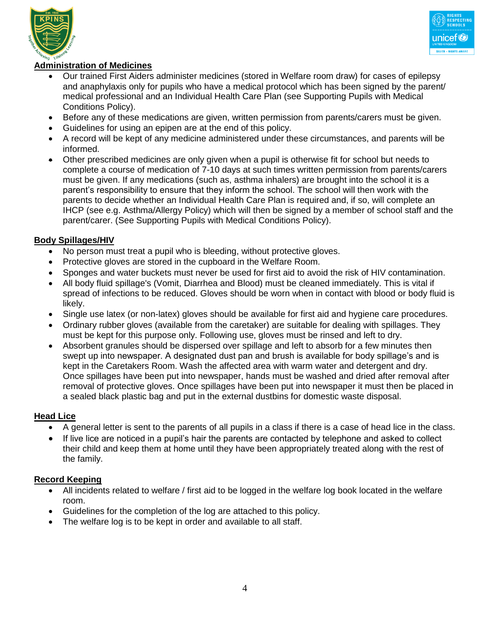



#### **Administration of Medicines**

- Our trained First Aiders administer medicines (stored in Welfare room draw) for cases of epilepsy and anaphylaxis only for pupils who have a medical protocol which has been signed by the parent/ medical professional and an Individual Health Care Plan (see Supporting Pupils with Medical Conditions Policy).
- Before any of these medications are given, written permission from parents/carers must be given.
- Guidelines for using an epipen are at the end of this policy.
- A record will be kept of any medicine administered under these circumstances, and parents will be informed.
- Other prescribed medicines are only given when a pupil is otherwise fit for school but needs to complete a course of medication of 7-10 days at such times written permission from parents/carers must be given. If any medications (such as, asthma inhalers) are brought into the school it is a parent's responsibility to ensure that they inform the school. The school will then work with the parents to decide whether an Individual Health Care Plan is required and, if so, will complete an IHCP (see e.g. Asthma/Allergy Policy) which will then be signed by a member of school staff and the parent/carer. (See Supporting Pupils with Medical Conditions Policy).

#### **Body Spillages/HIV**

- No person must treat a pupil who is bleeding, without protective gloves.
- Protective gloves are stored in the cupboard in the Welfare Room.
- Sponges and water buckets must never be used for first aid to avoid the risk of HIV contamination.
- All body fluid spillage's (Vomit, Diarrhea and Blood) must be cleaned immediately. This is vital if spread of infections to be reduced. Gloves should be worn when in contact with blood or body fluid is likely.
- Single use latex (or non-latex) gloves should be available for first aid and hygiene care procedures.
- Ordinary rubber gloves (available from the caretaker) are suitable for dealing with spillages. They must be kept for this purpose only. Following use, gloves must be rinsed and left to dry.
- Absorbent granules should be dispersed over spillage and left to absorb for a few minutes then swept up into newspaper. A designated dust pan and brush is available for body spillage's and is kept in the Caretakers Room. Wash the affected area with warm water and detergent and dry. Once spillages have been put into newspaper, hands must be washed and dried after removal after removal of protective gloves. Once spillages have been put into newspaper it must then be placed in a sealed black plastic bag and put in the external dustbins for domestic waste disposal.

#### **Head Lice**

- A general letter is sent to the parents of all pupils in a class if there is a case of head lice in the class.
- If live lice are noticed in a pupil's hair the parents are contacted by telephone and asked to collect their child and keep them at home until they have been appropriately treated along with the rest of the family.

#### **Record Keeping**

- All incidents related to welfare / first aid to be logged in the welfare log book located in the welfare room.
- Guidelines for the completion of the log are attached to this policy.
- The welfare log is to be kept in order and available to all staff.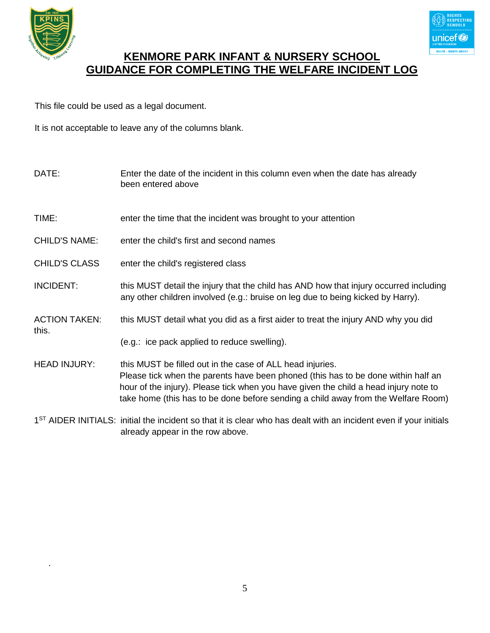

.



## **KENMORE PARK INFANT & NURSERY SCHOOL GUIDANCE FOR COMPLETING THE WELFARE INCIDENT LOG**

This file could be used as a legal document.

It is not acceptable to leave any of the columns blank.

| DATE:                         | Enter the date of the incident in this column even when the date has already<br>been entered above                                                                                                                                                                                                                          |
|-------------------------------|-----------------------------------------------------------------------------------------------------------------------------------------------------------------------------------------------------------------------------------------------------------------------------------------------------------------------------|
| TIME:                         | enter the time that the incident was brought to your attention                                                                                                                                                                                                                                                              |
| <b>CHILD'S NAME:</b>          | enter the child's first and second names                                                                                                                                                                                                                                                                                    |
| <b>CHILD'S CLASS</b>          | enter the child's registered class                                                                                                                                                                                                                                                                                          |
| <b>INCIDENT:</b>              | this MUST detail the injury that the child has AND how that injury occurred including<br>any other children involved (e.g.: bruise on leg due to being kicked by Harry).                                                                                                                                                    |
| <b>ACTION TAKEN:</b><br>this. | this MUST detail what you did as a first aider to treat the injury AND why you did                                                                                                                                                                                                                                          |
|                               | (e.g.: ice pack applied to reduce swelling).                                                                                                                                                                                                                                                                                |
| <b>HEAD INJURY:</b>           | this MUST be filled out in the case of ALL head injuries.<br>Please tick when the parents have been phoned (this has to be done within half an<br>hour of the injury). Please tick when you have given the child a head injury note to<br>take home (this has to be done before sending a child away from the Welfare Room) |
|                               | 1 <sup>ST</sup> AIDER INITIALS: initial the incident so that it is clear who has dealt with an incident even if your initials<br>already appear in the row above.                                                                                                                                                           |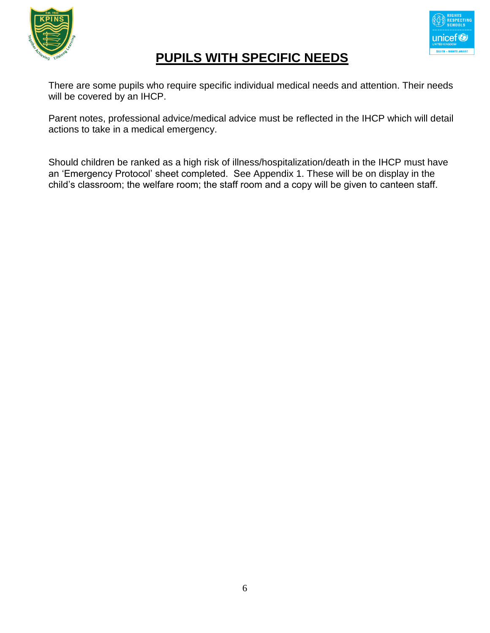



## **PUPILS WITH SPECIFIC NEEDS**

There are some pupils who require specific individual medical needs and attention. Their needs will be covered by an IHCP.

Parent notes, professional advice/medical advice must be reflected in the IHCP which will detail actions to take in a medical emergency.

Should children be ranked as a high risk of illness/hospitalization/death in the IHCP must have an 'Emergency Protocol' sheet completed. See Appendix 1. These will be on display in the child's classroom; the welfare room; the staff room and a copy will be given to canteen staff.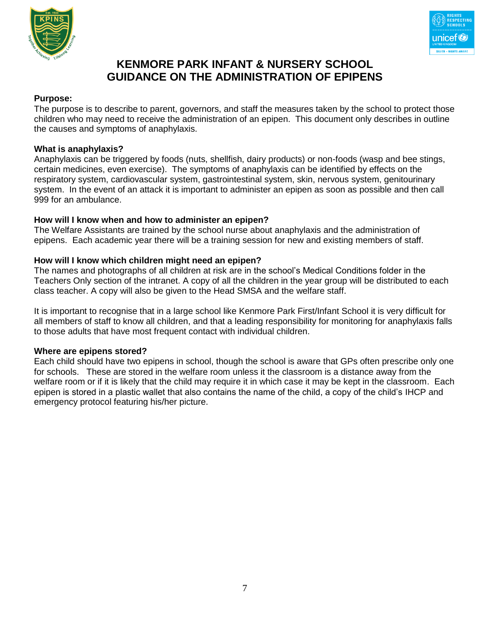



## **KENMORE PARK INFANT & NURSERY SCHOOL GUIDANCE ON THE ADMINISTRATION OF EPIPENS**

#### **Purpose:**

The purpose is to describe to parent, governors, and staff the measures taken by the school to protect those children who may need to receive the administration of an epipen. This document only describes in outline the causes and symptoms of anaphylaxis.

#### **What is anaphylaxis?**

Anaphylaxis can be triggered by foods (nuts, shellfish, dairy products) or non-foods (wasp and bee stings, certain medicines, even exercise). The symptoms of anaphylaxis can be identified by effects on the respiratory system, cardiovascular system, gastrointestinal system, skin, nervous system, genitourinary system. In the event of an attack it is important to administer an epipen as soon as possible and then call 999 for an ambulance.

#### **How will I know when and how to administer an epipen?**

The Welfare Assistants are trained by the school nurse about anaphylaxis and the administration of epipens. Each academic year there will be a training session for new and existing members of staff.

#### **How will I know which children might need an epipen?**

The names and photographs of all children at risk are in the school's Medical Conditions folder in the Teachers Only section of the intranet. A copy of all the children in the year group will be distributed to each class teacher. A copy will also be given to the Head SMSA and the welfare staff.

It is important to recognise that in a large school like Kenmore Park First/Infant School it is very difficult for all members of staff to know all children, and that a leading responsibility for monitoring for anaphylaxis falls to those adults that have most frequent contact with individual children.

#### **Where are epipens stored?**

Each child should have two epipens in school, though the school is aware that GPs often prescribe only one for schools. These are stored in the welfare room unless it the classroom is a distance away from the welfare room or if it is likely that the child may require it in which case it may be kept in the classroom. Each epipen is stored in a plastic wallet that also contains the name of the child, a copy of the child's IHCP and emergency protocol featuring his/her picture.